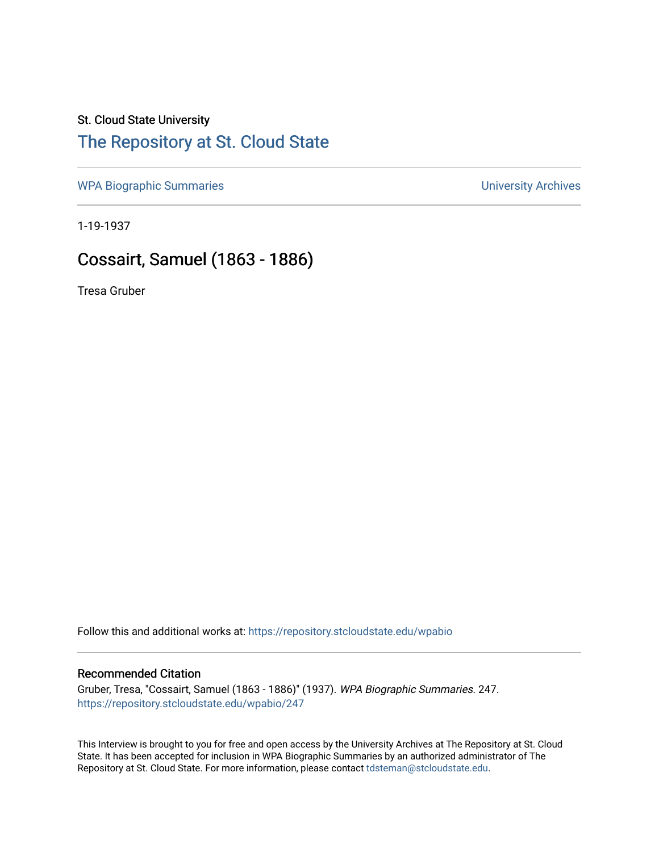### St. Cloud State University

## [The Repository at St. Cloud State](https://repository.stcloudstate.edu/)

[WPA Biographic Summaries](https://repository.stcloudstate.edu/wpabio) **WPA Biographic Summaries University Archives** 

1-19-1937

## Cossairt, Samuel (1863 - 1886)

Tresa Gruber

Follow this and additional works at: [https://repository.stcloudstate.edu/wpabio](https://repository.stcloudstate.edu/wpabio?utm_source=repository.stcloudstate.edu%2Fwpabio%2F247&utm_medium=PDF&utm_campaign=PDFCoverPages) 

#### Recommended Citation

Gruber, Tresa, "Cossairt, Samuel (1863 - 1886)" (1937). WPA Biographic Summaries. 247. [https://repository.stcloudstate.edu/wpabio/247](https://repository.stcloudstate.edu/wpabio/247?utm_source=repository.stcloudstate.edu%2Fwpabio%2F247&utm_medium=PDF&utm_campaign=PDFCoverPages) 

This Interview is brought to you for free and open access by the University Archives at The Repository at St. Cloud State. It has been accepted for inclusion in WPA Biographic Summaries by an authorized administrator of The Repository at St. Cloud State. For more information, please contact [tdsteman@stcloudstate.edu.](mailto:tdsteman@stcloudstate.edu)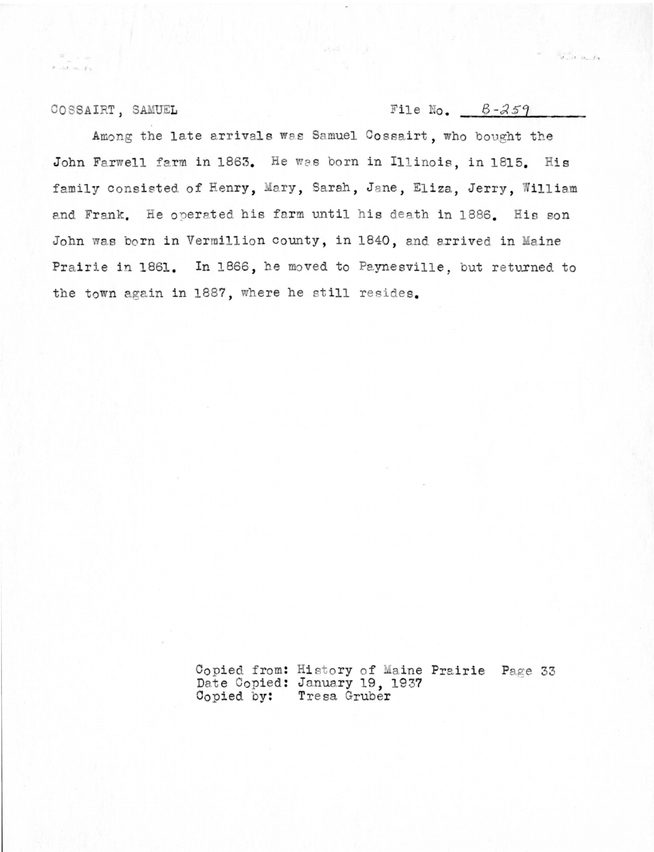#### COSSAIRT, SAMUEL

 $x = x - x + 1$ 

File No.  $B-259$ 

 $\mathcal{A}_{\mathcal{F},\mathcal{M}}^{\text{out}}$  on Eq.

Among the late arrivals was Samuel Cossairt, who bought the John Farwell farm in 1863. He was born in Illinois, in 1815. His family consisted of Henry, Mary, Sarah, Jane, Eliza, Jerry, William and Frank. He operated his farm until his death in 1886. His son John was born in Vermillion county, in 1840, and arrived in Maine Prairie in 1861. In 1866, he moved to Paynesville, but returned to the town again in 1887, where he still resides.

> Copied from: History of Maine Prairie Page 33<br>Date Copied: January 19, 1937 Copied by: Tresa Gruber